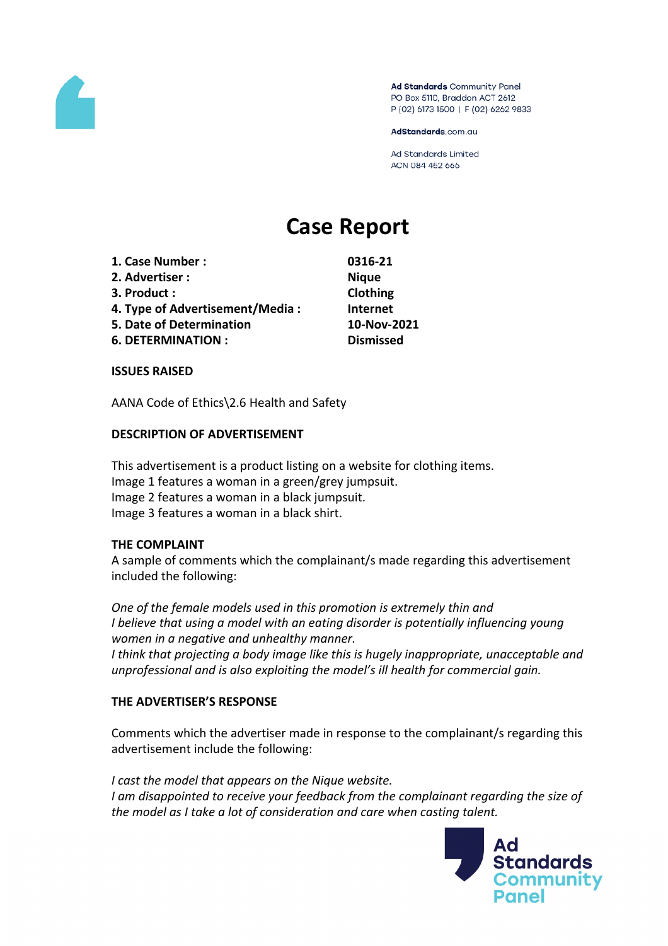

Ad Standards Community Panel PO Box 5110, Braddon ACT 2612 P (02) 6173 1500 | F (02) 6262 9833

AdStandards.com.au

Ad Standards Limited ACN 084 452 666

# **Case Report**

- **1. Case Number : 0316-21**
- **2. Advertiser : Nique**
- **3. Product : Clothing**
- **4. Type of Advertisement/Media : Internet**
- **5. Date of Determination 10-Nov-2021**
- **6. DETERMINATION : Dismissed**

### **ISSUES RAISED**

AANA Code of Ethics\2.6 Health and Safety

## **DESCRIPTION OF ADVERTISEMENT**

This advertisement is a product listing on a website for clothing items. Image 1 features a woman in a green/grey jumpsuit. Image 2 features a woman in a black jumpsuit. Image 3 features a woman in a black shirt.

### **THE COMPLAINT**

A sample of comments which the complainant/s made regarding this advertisement included the following:

*One of the female models used in this promotion is extremely thin and I believe that using a model with an eating disorder is potentially influencing young women in a negative and unhealthy manner.*

*I think that projecting a body image like this is hugely inappropriate, unacceptable and unprofessional and is also exploiting the model's ill health for commercial gain.*

# **THE ADVERTISER'S RESPONSE**

Comments which the advertiser made in response to the complainant/s regarding this advertisement include the following:

*I cast the model that appears on the Nique website. I am disappointed to receive your feedback from the complainant regarding the size of the model as I take a lot of consideration and care when casting talent.*

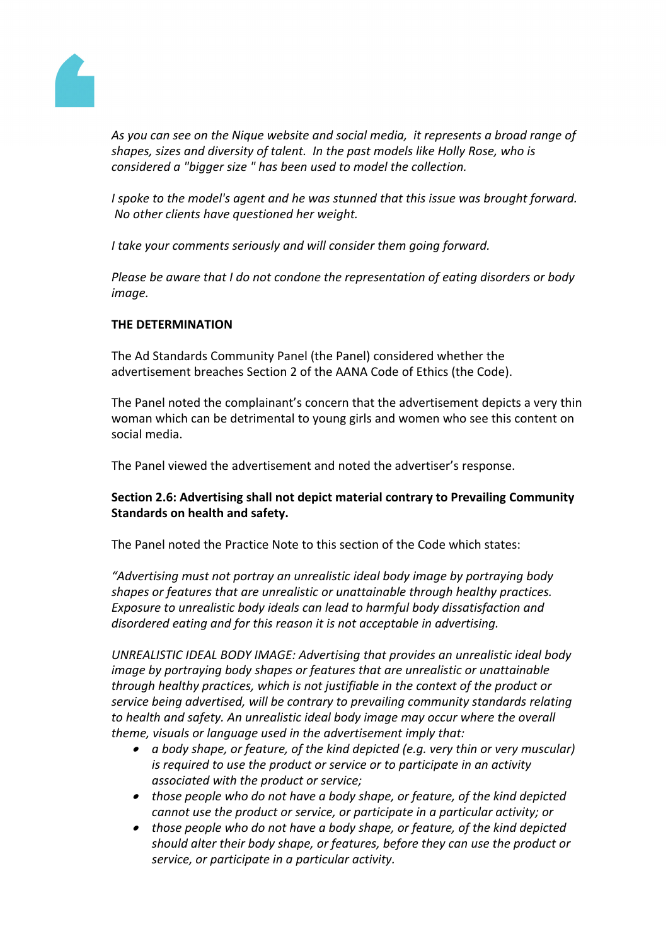

*As you can see on the Nique website and social media, it represents a broad range of shapes, sizes and diversity of talent. In the past models like Holly Rose, who is considered a "bigger size " has been used to model the collection.*

*I spoke to the model's agent and he was stunned that this issue was brought forward. No other clients have questioned her weight.*

*I take your comments seriously and will consider them going forward.*

*Please be aware that I do not condone the representation of eating disorders or body image.*

# **THE DETERMINATION**

The Ad Standards Community Panel (the Panel) considered whether the advertisement breaches Section 2 of the AANA Code of Ethics (the Code).

The Panel noted the complainant's concern that the advertisement depicts a very thin woman which can be detrimental to young girls and women who see this content on social media.

The Panel viewed the advertisement and noted the advertiser's response.

## **Section 2.6: Advertising shall not depict material contrary to Prevailing Community Standards on health and safety.**

The Panel noted the Practice Note to this section of the Code which states:

*"Advertising must not portray an unrealistic ideal body image by portraying body shapes or features that are unrealistic or unattainable through healthy practices. Exposure to unrealistic body ideals can lead to harmful body dissatisfaction and disordered eating and for this reason it is not acceptable in advertising.*

*UNREALISTIC IDEAL BODY IMAGE: Advertising that provides an unrealistic ideal body image by portraying body shapes or features that are unrealistic or unattainable through healthy practices, which is not justifiable in the context of the product or service being advertised, will be contrary to prevailing community standards relating to health and safety. An unrealistic ideal body image may occur where the overall theme, visuals or language used in the advertisement imply that:*

- *a body shape, or feature, of the kind depicted (e.g. very thin or very muscular) is required to use the product or service or to participate in an activity associated with the product or service;*
- *those people who do not have a body shape, or feature, of the kind depicted cannot use the product or service, or participate in a particular activity; or*
- *those people who do not have a body shape, or feature, of the kind depicted should alter their body shape, or features, before they can use the product or service, or participate in a particular activity.*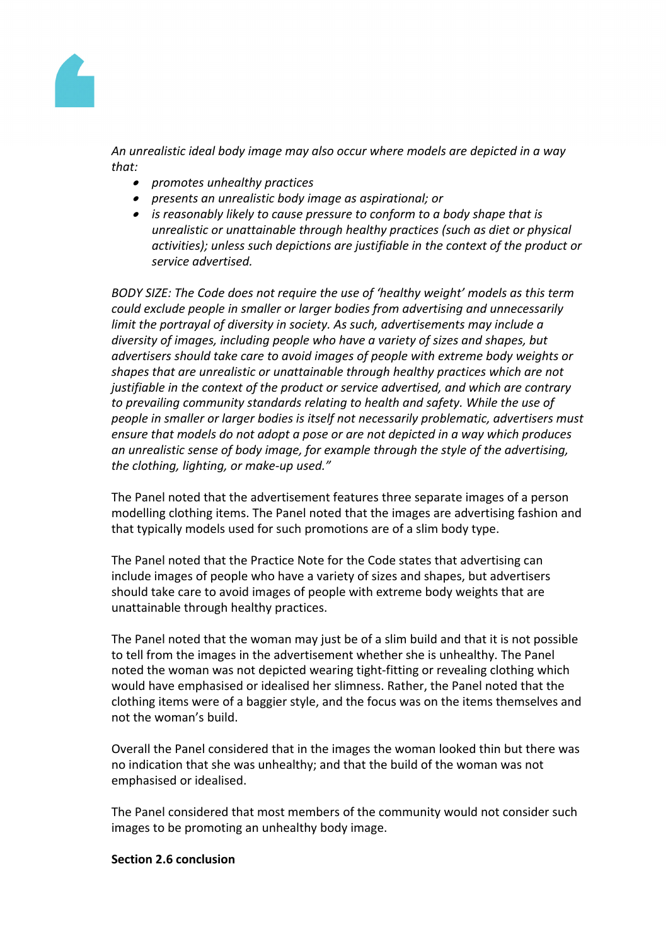

*An unrealistic ideal body image may also occur where models are depicted in a way that:*

- *promotes unhealthy practices*
- *presents an unrealistic body image as aspirational; or*
- *is reasonably likely to cause pressure to conform to a body shape that is unrealistic or unattainable through healthy practices (such as diet or physical activities); unless such depictions are justifiable in the context of the product or service advertised.*

*BODY SIZE: The Code does not require the use of 'healthy weight' models as this term could exclude people in smaller or larger bodies from advertising and unnecessarily limit the portrayal of diversity in society. As such, advertisements may include a diversity of images, including people who have a variety of sizes and shapes, but advertisers should take care to avoid images of people with extreme body weights or shapes that are unrealistic or unattainable through healthy practices which are not justifiable in the context of the product or service advertised, and which are contrary to prevailing community standards relating to health and safety. While the use of people in smaller or larger bodies is itself not necessarily problematic, advertisers must ensure that models do not adopt a pose or are not depicted in a way which produces an unrealistic sense of body image, for example through the style of the advertising, the clothing, lighting, or make-up used."*

The Panel noted that the advertisement features three separate images of a person modelling clothing items. The Panel noted that the images are advertising fashion and that typically models used for such promotions are of a slim body type.

The Panel noted that the Practice Note for the Code states that advertising can include images of people who have a variety of sizes and shapes, but advertisers should take care to avoid images of people with extreme body weights that are unattainable through healthy practices.

The Panel noted that the woman may just be of a slim build and that it is not possible to tell from the images in the advertisement whether she is unhealthy. The Panel noted the woman was not depicted wearing tight-fitting or revealing clothing which would have emphasised or idealised her slimness. Rather, the Panel noted that the clothing items were of a baggier style, and the focus was on the items themselves and not the woman's build.

Overall the Panel considered that in the images the woman looked thin but there was no indication that she was unhealthy; and that the build of the woman was not emphasised or idealised.

The Panel considered that most members of the community would not consider such images to be promoting an unhealthy body image.

### **Section 2.6 conclusion**